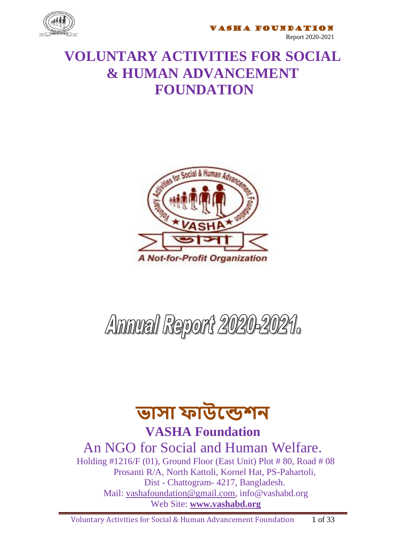

**ASHA FOUNDATION** 

Report 2020-2021

#### **VOLUNTARY ACTIVITIES FOR SOCIAL & HUMAN ADVANCEMENT FOUNDATION**



# Annual Report 2020-2021.

# **ভাসা ফাউন্ডেশন**

**VASHA Foundation**

An NGO for Social and Human Welfare.

Holding #1216/F (01), Ground Floor (East Unit) Plot # 80, Road # 08 Prosanti R/A, North Kattoli, Kornel Hat, PS-Pahartoli, Dist - Chattogram- 4217, Bangladesh. Mail: [vashafoundation@gmail.com,](mailto:vashafoundation@gmail.com) info@vashabd.org Web Site: **[www.vashabd.org](http://www.vashabd.org/)**

Voluntary Activities for Social & Human Advancement Foundation 1 of 33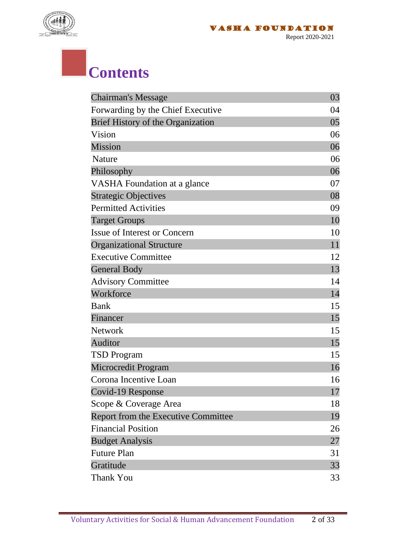

### **Contents**

| <b>Chairman's Message</b>           | 03 |
|-------------------------------------|----|
| Forwarding by the Chief Executive   | 04 |
| Brief History of the Organization   | 05 |
| Vision                              | 06 |
| Mission                             | 06 |
| Nature                              | 06 |
| Philosophy                          | 06 |
| <b>VASHA</b> Foundation at a glance | 07 |
| <b>Strategic Objectives</b>         | 08 |
| <b>Permitted Activities</b>         | 09 |
| <b>Target Groups</b>                | 10 |
| <b>Issue of Interest or Concern</b> | 10 |
| <b>Organizational Structure</b>     | 11 |
| <b>Executive Committee</b>          | 12 |
| <b>General Body</b>                 | 13 |
| <b>Advisory Committee</b>           | 14 |
| Workforce                           | 14 |
| <b>Bank</b>                         | 15 |
| Financer                            | 15 |
| <b>Network</b>                      | 15 |
| <b>Auditor</b>                      | 15 |
| <b>TSD Program</b>                  | 15 |
| Microcredit Program                 | 16 |
| Corona Incentive Loan               | 16 |
| Covid-19 Response                   | 17 |
| Scope & Coverage Area               | 18 |
| Report from the Executive Committee | 19 |
| <b>Financial Position</b>           | 26 |
| <b>Budget Analysis</b>              | 27 |
| <b>Future Plan</b>                  | 31 |
| Gratitude                           | 33 |
| <b>Thank You</b>                    | 33 |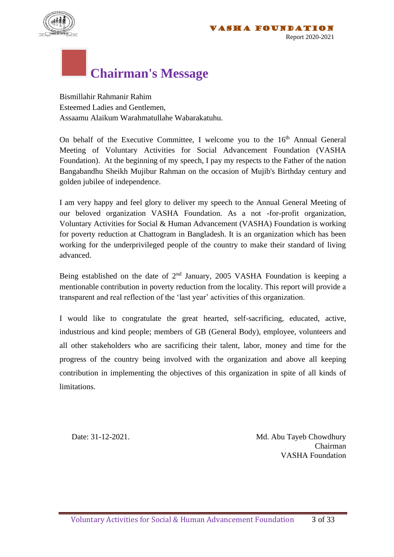

### **Chairman's Message**

Bismillahir Rahmanir Rahim Esteemed Ladies and Gentlemen, Assaamu Alaikum Warahmatullahe Wabarakatuhu.

On behalf of the Executive Committee, I welcome you to the  $16<sup>th</sup>$  Annual General Meeting of Voluntary Activities for Social Advancement Foundation (VASHA Foundation). At the beginning of my speech, I pay my respects to the Father of the nation Bangabandhu Sheikh Mujibur Rahman on the occasion of Mujib's Birthday century and golden jubilee of independence.

I am very happy and feel glory to deliver my speech to the Annual General Meeting of our beloved organization VASHA Foundation. As a not -for-profit organization, Voluntary Activities for Social & Human Advancement (VASHA) Foundation is working for poverty reduction at Chattogram in Bangladesh. It is an organization which has been working for the underprivileged people of the country to make their standard of living advanced.

Being established on the date of  $2<sup>nd</sup>$  January, 2005 VASHA Foundation is keeping a mentionable contribution in poverty reduction from the locality. This report will provide a transparent and real reflection of the 'last year' activities of this organization.

I would like to congratulate the great hearted, self-sacrificing, educated, active, industrious and kind people; members of GB (General Body), employee, volunteers and all other stakeholders who are sacrificing their talent, labor, money and time for the progress of the country being involved with the organization and above all keeping contribution in implementing the objectives of this organization in spite of all kinds of limitations.

Date: 31-12-2021. Md. Abu Tayeb Chowdhury **Chairman** VASHA Foundation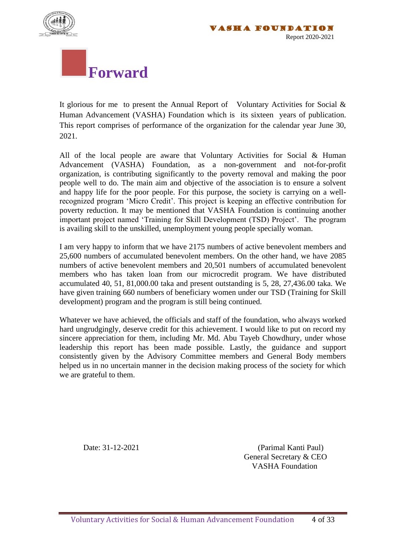



# **Forward**

It glorious for me to present the Annual Report of Voluntary Activities for Social & Human Advancement (VASHA) Foundation which is its sixteen years of publication. This report comprises of performance of the organization for the calendar year June 30, 2021.

All of the local people are aware that Voluntary Activities for Social & Human Advancement (VASHA) Foundation, as a non-government and not-for-profit organization, is contributing significantly to the poverty removal and making the poor people well to do. The main aim and objective of the association is to ensure a solvent and happy life for the poor people. For this purpose, the society is carrying on a wellrecognized program 'Micro Credit'. This project is keeping an effective contribution for poverty reduction. It may be mentioned that VASHA Foundation is continuing another important project named 'Training for Skill Development (TSD) Project'. The program is availing skill to the unskilled, unemployment young people specially woman.

I am very happy to inform that we have 2175 numbers of active benevolent members and 25,600 numbers of accumulated benevolent members. On the other hand, we have 2085 numbers of active benevolent members and 20,501 numbers of accumulated benevolent members who has taken loan from our microcredit program. We have distributed accumulated 40, 51, 81,000.00 taka and present outstanding is 5, 28, 27,436.00 taka. We have given training 660 numbers of beneficiary women under our TSD (Training for Skill development) program and the program is still being continued.

Whatever we have achieved, the officials and staff of the foundation, who always worked hard ungrudgingly, deserve credit for this achievement. I would like to put on record my sincere appreciation for them, including Mr. Md. Abu Tayeb Chowdhury, under whose leadership this report has been made possible. Lastly, the guidance and support consistently given by the Advisory Committee members and General Body members helped us in no uncertain manner in the decision making process of the society for which we are grateful to them.

Date: 31-12-2021 (Parimal Kanti Paul) General Secretary & CEO VASHA Foundation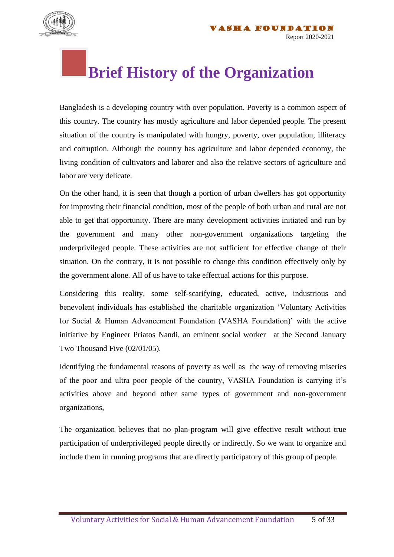

#### **Brief History of the Organization**

Bangladesh is a developing country with over population. Poverty is a common aspect of this country. The country has mostly agriculture and labor depended people. The present situation of the country is manipulated with hungry, poverty, over population, illiteracy and corruption. Although the country has agriculture and labor depended economy, the living condition of cultivators and laborer and also the relative sectors of agriculture and labor are very delicate.

On the other hand, it is seen that though a portion of urban dwellers has got opportunity for improving their financial condition, most of the people of both urban and rural are not able to get that opportunity. There are many development activities initiated and run by the government and many other non-government organizations targeting the underprivileged people. These activities are not sufficient for effective change of their situation. On the contrary, it is not possible to change this condition effectively only by the government alone. All of us have to take effectual actions for this purpose.

Considering this reality, some self-scarifying, educated, active, industrious and benevolent individuals has established the charitable organization 'Voluntary Activities for Social & Human Advancement Foundation (VASHA Foundation)' with the active initiative by Engineer Priatos Nandi, an eminent social worker at the Second January Two Thousand Five (02/01/05).

Identifying the fundamental reasons of poverty as well as the way of removing miseries of the poor and ultra poor people of the country, VASHA Foundation is carrying it's activities above and beyond other same types of government and non-government organizations,

The organization believes that no plan-program will give effective result without true participation of underprivileged people directly or indirectly. So we want to organize and include them in running programs that are directly participatory of this group of people.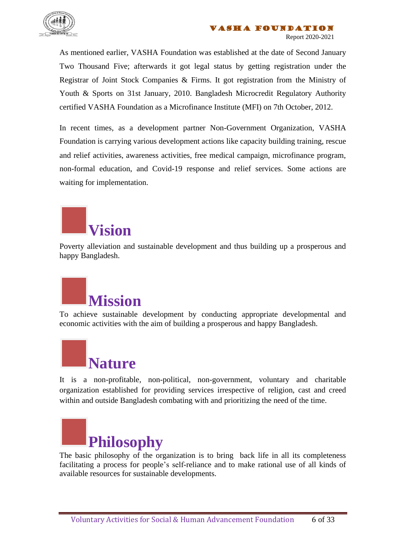

As mentioned earlier, VASHA Foundation was established at the date of Second January Two Thousand Five; afterwards it got legal status by getting registration under the Registrar of Joint Stock Companies & Firms. It got registration from the Ministry of Youth & Sports on 31st January, 2010. Bangladesh Microcredit Regulatory Authority certified VASHA Foundation as a Microfinance Institute (MFI) on 7th October, 2012.

In recent times, as a development partner Non-Government Organization, VASHA Foundation is carrying various development actions like capacity building training, rescue and relief activities, awareness activities, free medical campaign, microfinance program, non-formal education, and Covid-19 response and relief services. Some actions are waiting for implementation.

# **Vision**

Poverty alleviation and sustainable development and thus building up a prosperous and happy Bangladesh.



To achieve sustainable development by conducting appropriate developmental and economic activities with the aim of building a prosperous and happy Bangladesh.



It is a non-profitable, non-political, non-government, voluntary and charitable organization established for providing services irrespective of religion, cast and creed within and outside Bangladesh combating with and prioritizing the need of the time.



The basic philosophy of the organization is to bring back life in all its completeness facilitating a process for people's self-reliance and to make rational use of all kinds of available resources for sustainable developments.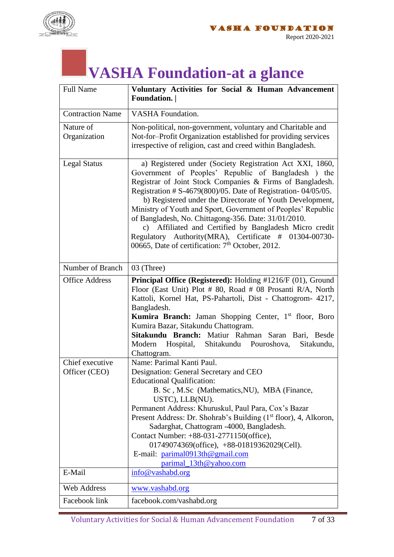

### **VASHA Foundation-at a glance**

| <b>Full Name</b>                 | Voluntary Activities for Social & Human Advancement<br>Foundation.                                                                                                                                                                                                                                                                                                                                                                                                                                                                                                                                                       |
|----------------------------------|--------------------------------------------------------------------------------------------------------------------------------------------------------------------------------------------------------------------------------------------------------------------------------------------------------------------------------------------------------------------------------------------------------------------------------------------------------------------------------------------------------------------------------------------------------------------------------------------------------------------------|
| <b>Contraction Name</b>          | <b>VASHA</b> Foundation.                                                                                                                                                                                                                                                                                                                                                                                                                                                                                                                                                                                                 |
| Nature of<br>Organization        | Non-political, non-government, voluntary and Charitable and<br>Not-for-Profit Organization established for providing services<br>irrespective of religion, cast and creed within Bangladesh.                                                                                                                                                                                                                                                                                                                                                                                                                             |
| <b>Legal Status</b>              | a) Registered under (Society Registration Act XXI, 1860,<br>Government of Peoples' Republic of Bangladesh ) the<br>Registrar of Joint Stock Companies & Firms of Bangladesh.<br>Registration # $S-4679(800)/05$ . Date of Registration-04/05/05.<br>b) Registered under the Directorate of Youth Development,<br>Ministry of Youth and Sport, Government of Peoples' Republic<br>of Bangladesh, No. Chittagong-356. Date: 31/01/2010.<br>c) Affiliated and Certified by Bangladesh Micro credit<br>Regulatory Authority(MRA), Certificate # 01304-00730-<br>00665, Date of certification: 7 <sup>th</sup> October, 2012. |
| Number of Branch                 | $03$ (Three)                                                                                                                                                                                                                                                                                                                                                                                                                                                                                                                                                                                                             |
| <b>Office Address</b>            | Principal Office (Registered): Holding #1216/F (01), Ground<br>Floor (East Unit) Plot # 80, Road # 08 Prosanti R/A, North<br>Kattoli, Kornel Hat, PS-Pahartoli, Dist - Chattogrom- 4217,<br>Bangladesh.<br><b>Kumira Branch:</b> Jaman Shopping Center, 1 <sup>st</sup> floor, Boro<br>Kumira Bazar, Sitakundu Chattogram.<br>Sitakundu Branch: Matiur Rahman Saran Bari, Besde<br>Modern<br>Hospital, Shitakundu Pouroshova,<br>Sitakundu,<br>Chattogram.                                                                                                                                                               |
| Chief executive<br>Officer (CEO) | Name: Parimal Kanti Paul.<br>Designation: General Secretary and CEO                                                                                                                                                                                                                                                                                                                                                                                                                                                                                                                                                      |
|                                  | <b>Educational Qualification:</b><br>B. Sc, M.Sc (Mathematics, NU), MBA (Finance,<br>USTC), LLB(NU).<br>Permanent Address: Khuruskul, Paul Para, Cox's Bazar<br>Present Address: Dr. Shohrab's Building (1 <sup>st</sup> floor), 4, Alkoron,<br>Sadarghat, Chattogram -4000, Bangladesh.<br>Contact Number: +88-031-2771150(office),<br>01749074369(office), +88-01819362029(Cell).<br>E-mail: parimal0913th@gmail.com<br>parimal_13th@yahoo.com                                                                                                                                                                         |
| E-Mail                           | info@vashabd.org                                                                                                                                                                                                                                                                                                                                                                                                                                                                                                                                                                                                         |
| <b>Web Address</b>               | www.vashabd.org                                                                                                                                                                                                                                                                                                                                                                                                                                                                                                                                                                                                          |
| Facebook link                    | facebook.com/vashabd.org                                                                                                                                                                                                                                                                                                                                                                                                                                                                                                                                                                                                 |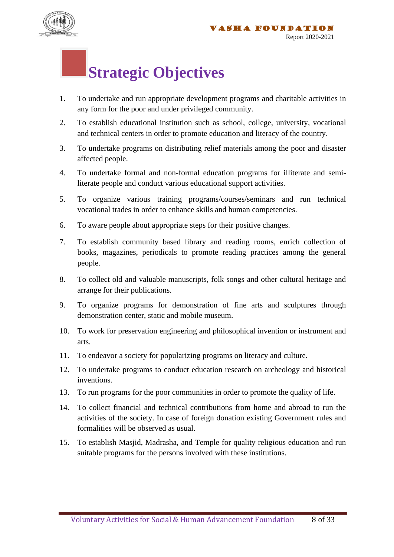

#### **Strategic Objectives**

- 1. To undertake and run appropriate development programs and charitable activities in any form for the poor and under privileged community.
- 2. To establish educational institution such as school, college, university, vocational and technical centers in order to promote education and literacy of the country.
- 3. To undertake programs on distributing relief materials among the poor and disaster affected people.
- 4. To undertake formal and non-formal education programs for illiterate and semiliterate people and conduct various educational support activities.
- 5. To organize various training programs/courses/seminars and run technical vocational trades in order to enhance skills and human competencies.
- 6. To aware people about appropriate steps for their positive changes.
- 7. To establish community based library and reading rooms, enrich collection of books, magazines, periodicals to promote reading practices among the general people.
- 8. To collect old and valuable manuscripts, folk songs and other cultural heritage and arrange for their publications.
- 9. To organize programs for demonstration of fine arts and sculptures through demonstration center, static and mobile museum.
- 10. To work for preservation engineering and philosophical invention or instrument and arts.
- 11. To endeavor a society for popularizing programs on literacy and culture.
- 12. To undertake programs to conduct education research on archeology and historical inventions.
- 13. To run programs for the poor communities in order to promote the quality of life.
- 14. To collect financial and technical contributions from home and abroad to run the activities of the society. In case of foreign donation existing Government rules and formalities will be observed as usual.
- 15. To establish Masjid, Madrasha, and Temple for quality religious education and run suitable programs for the persons involved with these institutions.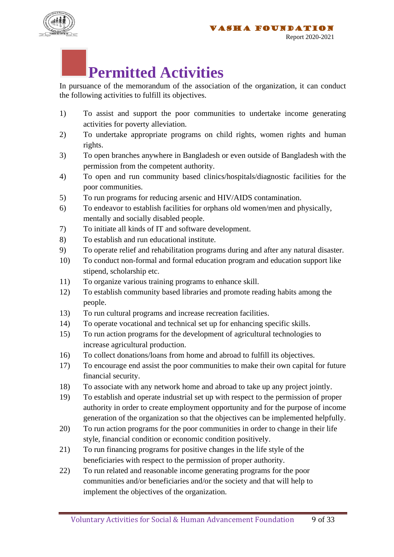



#### **Permitted Activities**

In pursuance of the memorandum of the association of the organization, it can conduct the following activities to fulfill its objectives.

- 1) To assist and support the poor communities to undertake income generating activities for poverty alleviation.
- 2) To undertake appropriate programs on child rights, women rights and human rights.
- 3) To open branches anywhere in Bangladesh or even outside of Bangladesh with the permission from the competent authority.
- 4) To open and run community based clinics/hospitals/diagnostic facilities for the poor communities.
- 5) To run programs for reducing arsenic and HIV/AIDS contamination.
- 6) To endeavor to establish facilities for orphans old women/men and physically, mentally and socially disabled people.
- 7) To initiate all kinds of IT and software development.
- 8) To establish and run educational institute.
- 9) To operate relief and rehabilitation programs during and after any natural disaster.
- 10) To conduct non-formal and formal education program and education support like stipend, scholarship etc.
- 11) To organize various training programs to enhance skill.
- 12) To establish community based libraries and promote reading habits among the people.
- 13) To run cultural programs and increase recreation facilities.
- 14) To operate vocational and technical set up for enhancing specific skills.
- 15) To run action programs for the development of agricultural technologies to increase agricultural production.
- 16) To collect donations/loans from home and abroad to fulfill its objectives.
- 17) To encourage end assist the poor communities to make their own capital for future financial security.
- 18) To associate with any network home and abroad to take up any project jointly.
- 19) To establish and operate industrial set up with respect to the permission of proper authority in order to create employment opportunity and for the purpose of income generation of the organization so that the objectives can be implemented helpfully.
- 20) To run action programs for the poor communities in order to change in their life style, financial condition or economic condition positively.
- 21) To run financing programs for positive changes in the life style of the beneficiaries with respect to the permission of proper authority.
- 22) To run related and reasonable income generating programs for the poor communities and/or beneficiaries and/or the society and that will help to implement the objectives of the organization.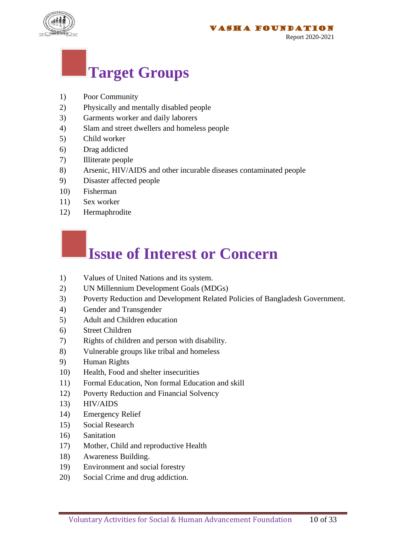

#### **Target Groups**

- 1) Poor Community
- 2) Physically and mentally disabled people
- 3) Garments worker and daily laborers
- 4) Slam and street dwellers and homeless people
- 5) Child worker
- 6) Drag addicted
- 7) Illiterate people
- 8) Arsenic, HIV/AIDS and other incurable diseases contaminated people
- 9) Disaster affected people
- 10) Fisherman
- 11) Sex worker
- 12) Hermaphrodite

#### **Issue of Interest or Concern**

- 1) Values of United Nations and its system.
- 2) UN Millennium Development Goals (MDGs)
- 3) Poverty Reduction and Development Related Policies of Bangladesh Government.
- 4) Gender and Transgender
- 5) Adult and Children education
- 6) Street Children
- 7) Rights of children and person with disability.
- 8) Vulnerable groups like tribal and homeless
- 9) Human Rights
- 10) Health, Food and shelter insecurities
- 11) Formal Education, Non formal Education and skill
- 12) Poverty Reduction and Financial Solvency
- 13) HIV/AIDS
- 14) Emergency Relief
- 15) Social Research
- 16) Sanitation
- 17) Mother, Child and reproductive Health
- 18) Awareness Building.
- 19) Environment and social forestry
- 20) Social Crime and drug addiction.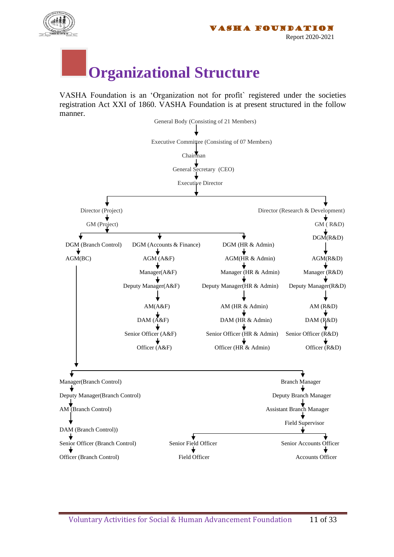

### **Organizational Structure**

VASHA Foundation is an 'Organization not for profit` registered under the societies registration Act XXI of 1860. VASHA Foundation is at present structured in the follow manner.

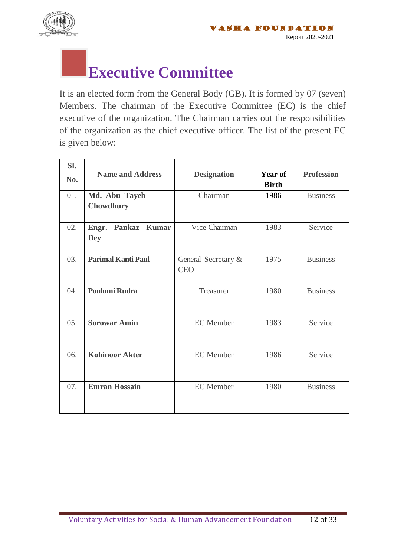

#### **Executive Committee**

It is an elected form from the General Body (GB). It is formed by 07 (seven) Members. The chairman of the Executive Committee (EC) is the chief executive of the organization. The Chairman carries out the responsibilities of the organization as the chief executive officer. The list of the present EC is given below:

| Sl. | <b>Name and Address</b>             | <b>Designation</b>                | Year of      | <b>Profession</b> |
|-----|-------------------------------------|-----------------------------------|--------------|-------------------|
| No. |                                     |                                   | <b>Birth</b> |                   |
| 01. | Md. Abu Tayeb<br><b>Chowdhury</b>   | Chairman                          | 1986         | <b>Business</b>   |
| 02. | Pankaz Kumar<br>Engr.<br><b>Dey</b> | Vice Chairman                     | 1983         | Service           |
| 03. | <b>Parimal Kanti Paul</b>           | General Secretary &<br><b>CEO</b> | 1975         | <b>Business</b>   |
| 04. | <b>Poulumi Rudra</b>                | Treasurer                         | 1980         | <b>Business</b>   |
| 05. | <b>Sorowar Amin</b>                 | <b>EC</b> Member                  | 1983         | Service           |
| 06. | <b>Kohinoor Akter</b>               | <b>EC</b> Member                  | 1986         | Service           |
| 07. | <b>Emran Hossain</b>                | <b>EC</b> Member                  | 1980         | <b>Business</b>   |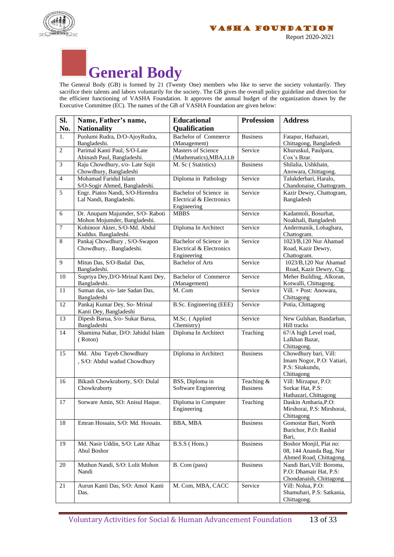





The General Body (GB) is formed by 21 (Twenty One) members who like to serve the society voluntarily. They sacrifice their talents and labors voluntarily for the society. The GB gives the overall policy guideline and direction for the efficient functioning of VASHA Foundation. It approves the annual budget of the organization drawn by the Executive Committee (EC). The names of the GB of VASHA Foundation are given below:

| SI.              | Name, Father's name,                                            | <b>Educational</b>                                                | <b>Profession</b>             | <b>Address</b>                                                                      |
|------------------|-----------------------------------------------------------------|-------------------------------------------------------------------|-------------------------------|-------------------------------------------------------------------------------------|
| No.              | <b>Nationality</b>                                              | Qualification                                                     |                               |                                                                                     |
| 1.               | Puolumi Rudra, D/O-AjoyRudra,<br>Bangladeshi.                   | <b>Bachelor of Commerce</b><br>(Management)                       | <b>Business</b>               | Fatapur, Hathazari,<br>Chittagong, Bangladesh                                       |
| $\overline{2}$   | Parimal Kanti Paul, S/O-Late<br>Abinash Paul, Bangladeshi.      | <b>Masters of Science</b><br>(Mathematics), MBA, LLB              | Service                       | Khuruskul, Paulpara,<br>Cox's Bzar.                                                 |
| 3                | Raju Chowdhury, s/o- Late Sujit<br>Chowdhury, Bangladeshi       | M. Sc (Statistics)                                                | <b>Business</b>               | Shilalia, Ushkhain,<br>Anowara, Chittagong.                                         |
| $\overline{4}$   | Mohamad Faridul Islam<br>S/O-Sogir Ahmed, Bangladeshi.          | Diploma in Pathology                                              | Service                       | Talukderbari, Haralo,<br>Chandonaise, Chattogram.                                   |
| $\overline{5}$   | Engr. Piatos Nandi, S/O-Hirendra<br>Lal Nandi, Bangladeshi.     | Bachelor of Science in<br>Electrical & Electronics<br>Engineering | Service                       | Kazir Dewry, Chattogram,<br>Bangladesh                                              |
| $\sqrt{6}$       | Dr. Anupam Majumder, S/O-Raboti<br>Mohon Mojumder, Bangladeshi. | <b>MBBS</b>                                                       | Service                       | Kadamtoli, Bosurhat,<br>Noakhali, Bangladesh                                        |
| $\boldsymbol{7}$ | Kohinoor Akter, S/O-Md. Abdul<br>Kuddus. Bangladeshi.           | Diploma In Architect                                              | Service                       | Andermanik, Lohaghara,<br>Chattogram.                                               |
| $\,8\,$          | Pankaj Chowdhury, S/O-Swapon<br>Chowdhury, . Bangladeshi.       | Bachelor of Science in<br>Electrical & Electronics<br>Engineering | Service                       | 1023/B,120 Nur Ahamad<br>Road, Kazir Dewry,<br>Chattogram.                          |
| 9                | Mitun Das, S/O-Badal Das,<br>Bangladeshi.                       | <b>Bachelor</b> of Arts                                           | Service                       | 1023/B,120 Nur Ahamad<br>Road, Kazir Dewry, Ctg.                                    |
| 10               | Supriya Dey, D/O-Mrinal Kanti Dey,<br>Bangladeshi.              | <b>Bachelor of Commerce</b><br>(Management)                       | Service                       | Meher Building, Alkoran,<br>Kotwalli, Chittagong.                                   |
| 11               | Suman das, s/o- late Sadan Das,<br>Bangladeshi                  | M. Com                                                            | Service                       | Vill. + Post: Anowara,<br>Chittagong                                                |
| 12               | Pankaj Kumar Dey, So- Mrinal<br>Kanti Dey, Bangladeshi          | B.Sc. Engineering (EEE)                                           | Service                       | Potia, Chittagong                                                                   |
| 13               | Dipesh Barua, S/o- Sukar Barua,<br>Bangladeshi                  | M.Sc. (Applied<br>Chemistry)                                      | Service                       | New Gulshan, Bandarban,<br>Hill tracks                                              |
| 14               | Shamima Nahar, D/O: Jahidul Islam<br>(Roton)                    | Diploma In Architect                                              | Teaching                      | 67/A high Level road,<br>Lalkhan Bazar,<br>Chittagong.                              |
| 15               | Md. Abu Tayeb Chowdhury<br>, S/O: Abdul wadud Chowdhury         | Diploma in Architect                                              | <b>Business</b>               | Chowdhury bari, Vill:<br>Imam Nogor, P.O: Vatiari,<br>P.S: Sitakundu,<br>Chittagong |
| 16               | Bikash Chowkraborty, S/O: Dulal<br>Chowkraborty                 | BSS, Diploma in<br>Software Engineering                           | Teaching &<br><b>Business</b> | Vill: Mirzapur, P.O:<br>Sorkar Hat, P.S:<br>Hathazari, Chittagong                   |
| 17               | Sorware Amin, SO: Anisul Haque.                                 | Diploma in Computer<br>Engineering                                | Teaching                      | Daskin Ambaria, P.O:<br>Mirshorai, P.S: Mirshorai,<br>Chittagong                    |
| 18               | Emran Hossain, S/O: Md. Hossain.                                | BBA, MBA                                                          | <b>Business</b>               | Gomostar Bari, North<br>Burichor, P.O: Rashid<br>Bari,                              |
| 19               | Md. Nasir Uddin, S/O: Late Alhaz<br>Abul Boshor                 | B.S.S (Hons.)                                                     | <b>Business</b>               | Boshor Monjil, Plat no:<br>08, 144 Ananda Bag, Nur<br>Ahmed Road, Chittagong.       |
| 20               | Muthun Nandi, S/O: Lolit Mohon<br>Nandi                         | B. Com (pass)                                                     | <b>Business</b>               | Nandi Bari, Vill: Boroma,<br>P.O: Dhamair Hat, P.S:<br>Chondanaish, Chittagong      |
| 21               | Aurun Kanti Das, S/O: Amol Kanti<br>Das.                        | M. Com, MBA, CACC                                                 | Service                       | Vill: Nolua, P.O:<br>Shamuhari, P.S: Satkania,<br>Chittagong.                       |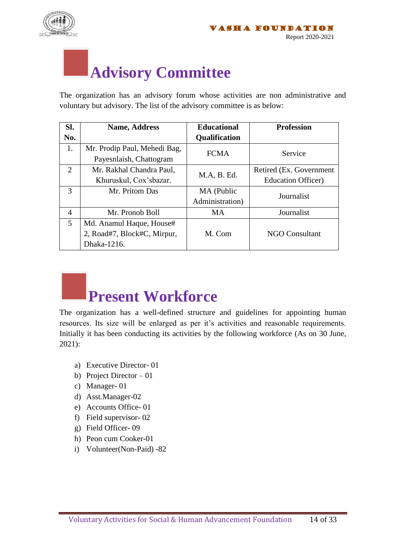

#### **Advisory Committee**

The organization has an advisory forum whose activities are non administrative and voluntary but advisory. The list of the advisory committee is as below:

| SI. | <b>Name, Address</b>         | <b>Educational</b>   | <b>Profession</b>          |
|-----|------------------------------|----------------------|----------------------------|
| No. |                              | <b>Qualification</b> |                            |
| 1.  | Mr. Prodip Paul, Mehedi Bag, | <b>FCMA</b>          | Service                    |
|     | Payesnlaish, Chattogram      |                      |                            |
| 2   | Mr. Rakhal Chandra Paul,     | M.A, B. Ed.          | Retired (Ex. Government)   |
|     | Khuruskul, Cox'sbazar.       |                      | <b>Education Officer</b> ) |
| 3   | Mr. Pritom Das               | MA (Public           | Journalist                 |
|     |                              | Administration)      |                            |
| 4   | Mr. Pronob Boll              | <b>MA</b>            | Journalist                 |
| 5   | Md. Anamul Haque, House#     |                      |                            |
|     | 2, Road#7, Block#C, Mirpur,  | M. Com               | <b>NGO Consultant</b>      |
|     | Dhaka-1216.                  |                      |                            |



The organization has a well-defined structure and guidelines for appointing human resources. Its size will be enlarged as per it's activities and reasonable requirements. Initially it has been conducting its activities by the following workforce (As on 30 June, 2021):

- a) Executive Director- 01
- b) Project Director 01
- c) Manager- 01
- d) Asst.Manager-02
- e) Accounts Office- 01
- f) Field supervisor- 02
- g) Field Officer- 09
- h) Peon cum Cooker-01
- i) Volunteer(Non-Paid) -82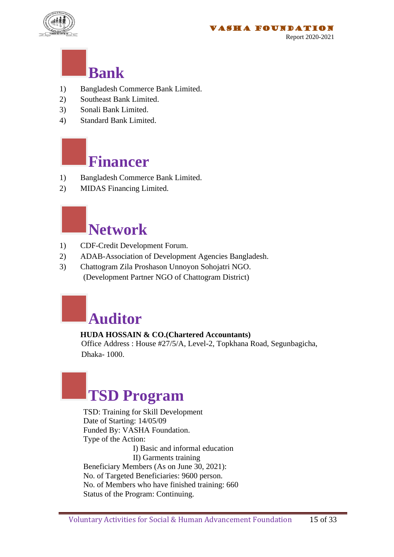

#### **Bank**

- 1) Bangladesh Commerce Bank Limited.
- 2) Southeast Bank Limited.
- 3) Sonali Bank Limited.
- 4) Standard Bank Limited.

### **Financer**

- 1) Bangladesh Commerce Bank Limited.
- 2) MIDAS Financing Limited.

#### **Network**

- 1) CDF-Credit Development Forum.
- 2) ADAB-Association of Development Agencies Bangladesh.
- 3) Chattogram Zila Proshason Unnoyon Sohojatri NGO. (Development Partner NGO of Chattogram District)



#### **HUDA HOSSAIN & CO.(Chartered Accountants)**

 Office Address : House #27/5/A, Level-2, Topkhana Road, Segunbagicha, Dhaka- 1000.

## **TSD Program**

 TSD: Training for Skill Development Date of Starting: 14/05/09 Funded By: VASHA Foundation. Type of the Action: I) Basic and informal education II) Garments training Beneficiary Members (As on June 30, 2021): No. of Targeted Beneficiaries: 9600 person. No. of Members who have finished training: 660 Status of the Program: Continuing.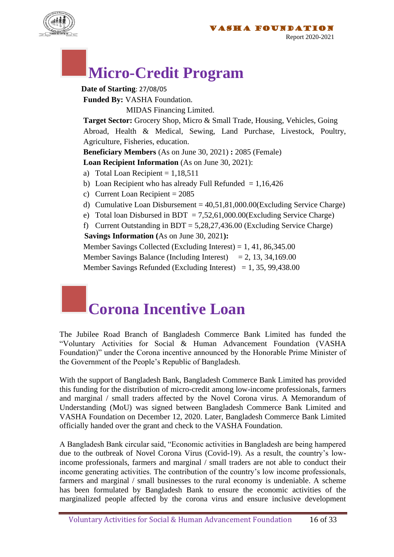

#### **Micro-Credit Program**

 **Date of Starting**: 27/08/05 **Funded By:** VASHA Foundation. MIDAS Financing Limited. **Target Sector:** Grocery Shop, Micro & Small Trade, Housing, Vehicles, Going Abroad, Health & Medical, Sewing, Land Purchase, Livestock, Poultry, Agriculture, Fisheries, education. **Beneficiary Members** (As on June 30, 2021) **:** 2085 (Female) **Loan Recipient Information** (As on June 30, 2021): a) Total Loan Recipient  $= 1,18,511$ b) Loan Recipient who has already Full Refunded  $= 1,16,426$ c) Current Loan Recipient = 2085 d) Cumulative Loan Disbursement =  $40,51,81,000.00$  (Excluding Service Charge) e) Total loan Disbursed in BDT =  $7.52,61,000.00$  (Excluding Service Charge) f) Current Outstanding in  $BDT = 5,28,27,436.00$  (Excluding Service Charge)  **Savings Information (**As on June 30, 2021**):** Member Savings Collected (Excluding Interest) = 1, 41, 86,345.00

Member Savings Balance (Including Interest) = 2, 13, 34, 169.00

Member Savings Refunded (Excluding Interest) = 1, 35, 99,438.00

#### **Corona Incentive Loan**

The Jubilee Road Branch of Bangladesh Commerce Bank Limited has funded the "Voluntary Activities for Social & Human Advancement Foundation (VASHA Foundation)" under the Corona incentive announced by the Honorable Prime Minister of the Government of the People's Republic of Bangladesh.

With the support of Bangladesh Bank, Bangladesh Commerce Bank Limited has provided this funding for the distribution of micro-credit among low-income professionals, farmers and marginal / small traders affected by the Novel Corona virus. A Memorandum of Understanding (MoU) was signed between Bangladesh Commerce Bank Limited and VASHA Foundation on December 12, 2020. Later, Bangladesh Commerce Bank Limited officially handed over the grant and check to the VASHA Foundation.

A Bangladesh Bank circular said, "Economic activities in Bangladesh are being hampered due to the outbreak of Novel Corona Virus (Covid-19). As a result, the country's lowincome professionals, farmers and marginal / small traders are not able to conduct their income generating activities. The contribution of the country's low income professionals, farmers and marginal / small businesses to the rural economy is undeniable. A scheme has been formulated by Bangladesh Bank to ensure the economic activities of the marginalized people affected by the corona virus and ensure inclusive development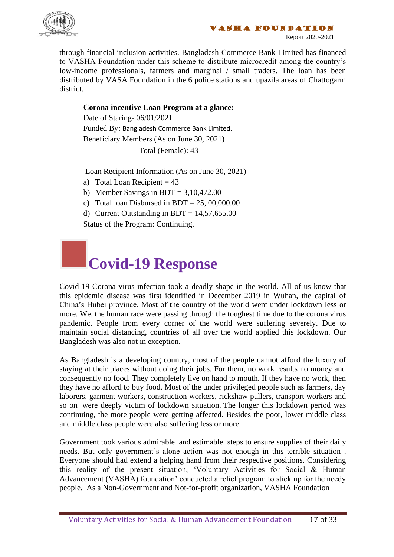



Report 2020-2021

through financial inclusion activities. Bangladesh Commerce Bank Limited has financed to VASHA Foundation under this scheme to distribute microcredit among the country's low-income professionals, farmers and marginal / small traders. The loan has been distributed by VASA Foundation in the 6 police stations and upazila areas of Chattogarm district.

#### **Corona incentive Loan Program at a glance:**

Date of Staring- 06/01/2021 Funded By: Bangladesh Commerce Bank Limited. Beneficiary Members (As on June 30, 2021) Total (Female): 43

Loan Recipient Information (As on June 30, 2021)

- a) Total Loan Recipient  $= 43$
- b) Member Savings in BDT =  $3.10,472.00$
- c) Total loan Disbursed in BDT =  $25,00,000.00$
- d) Current Outstanding in BDT =  $14,57,655.00$

Status of the Program: Continuing.

#### **Covid-19 Response**

Covid-19 Corona virus infection took a deadly shape in the world. All of us know that this epidemic disease was first identified in December 2019 in Wuhan, the capital of China's Hubei province. Most of the country of the world went under lockdown less or more. We, the human race were passing through the toughest time due to the corona virus pandemic. People from every corner of the world were suffering severely. Due to maintain social distancing, countries of all over the world applied this lockdown. Our Bangladesh was also not in exception.

As Bangladesh is a developing country, most of the people cannot afford the luxury of staying at their places without doing their jobs. For them, no work results no money and consequently no food. They completely live on hand to mouth. If they have no work, then they have no afford to buy food. Most of the under privileged people such as farmers, day laborers, garment workers, construction workers, rickshaw pullers, transport workers and so on were deeply victim of lockdown situation. The longer this lockdown period was continuing, the more people were getting affected. Besides the poor, lower middle class and middle class people were also suffering less or more.

Government took various admirable and estimable steps to ensure supplies of their daily needs. But only government's alone action was not enough in this terrible situation . Everyone should had extend a helping hand from their respective positions. Considering this reality of the present situation, 'Voluntary Activities for Social & Human Advancement (VASHA) foundation' conducted a relief program to stick up for the needy people. As a Non-Government and Not-for-profit organization, VASHA Foundation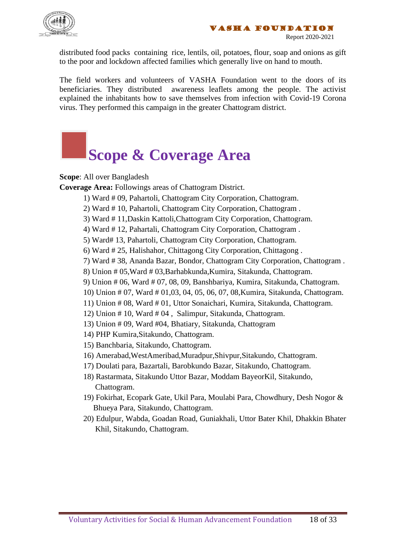

distributed food packs containing rice, lentils, oil, potatoes, flour, soap and onions as gift to the poor and lockdown affected families which generally live on hand to mouth.

The field workers and volunteers of VASHA Foundation went to the doors of its beneficiaries. They distributed awareness leaflets among the people. The activist explained the inhabitants how to save themselves from infection with Covid-19 Corona virus. They performed this campaign in the greater Chattogram district.

## **Scope & Coverage Area**

**Scope**: All over Bangladesh

**Coverage Area:** Followings areas of Chattogram District.

- 1) Ward # 09, Pahartoli, Chattogram City Corporation, Chattogram.
- 2) Ward # 10, Pahartoli, Chattogram City Corporation, Chattogram .
- 3) Ward # 11,Daskin Kattoli,Chattogram City Corporation, Chattogram.
- 4) Ward # 12, Pahartali, Chattogram City Corporation, Chattogram .
- 5) Ward# 13, Pahartoli, Chattogram City Corporation, Chattogram.
- 6) Ward # 25, Halishahor, Chittagong City Corporation, Chittagong .
- 7) Ward # 38, Ananda Bazar, Bondor, Chattogram City Corporation, Chattogram .
- 8) Union # 05,Ward # 03,Barhabkunda,Kumira, Sitakunda, Chattogram.
- 9) Union # 06, Ward # 07, 08, 09, Banshbariya, Kumira, Sitakunda, Chattogram.
- 10) Union # 07, Ward # 01,03, 04, 05, 06, 07, 08,Kumira, Sitakunda, Chattogram.
- 11) Union # 08, Ward # 01, Uttor Sonaichari, Kumira, Sitakunda, Chattogram.
- 12) Union # 10, Ward # 04 , Salimpur, Sitakunda, Chattogram.
- 13) Union # 09, Ward #04, Bhatiary, Sitakunda, Chattogram
- 14) PHP Kumira,Sitakundo, Chattogram.
- 15) Banchbaria, Sitakundo, Chattogram.
- 16) Amerabad,WestAmeribad,Muradpur,Shivpur,Sitakundo, Chattogram.
- 17) Doulati para, Bazartali, Barobkundo Bazar, Sitakundo, Chattogram.
- 18) Rastarmata, Sitakundo Uttor Bazar, Moddam BayeorKil, Sitakundo, Chattogram.
- 19) Fokirhat, Ecopark Gate, Ukil Para, Moulabi Para, Chowdhury, Desh Nogor & Bhueya Para, Sitakundo, Chattogram.
- 20) Edulpur, Wabda, Goadan Road, Guniakhali, Uttor Bater Khil, Dhakkin Bhater Khil, Sitakundo, Chattogram.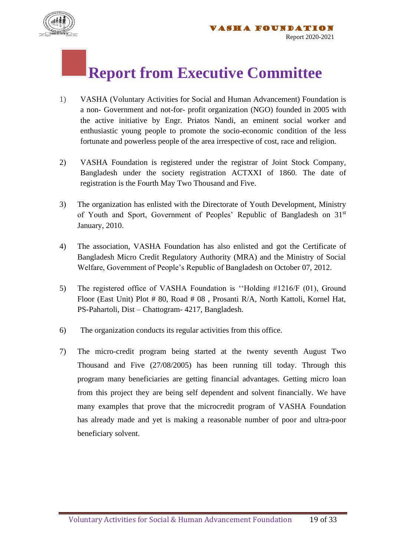

#### **Report from Executive Committee**

- 1) VASHA (Voluntary Activities for Social and Human Advancement) Foundation is a non- Government and not-for- profit organization (NGO) founded in 2005 with the active initiative by Engr. Priatos Nandi, an eminent social worker and enthusiastic young people to promote the socio-economic condition of the less fortunate and powerless people of the area irrespective of cost, race and religion.
- 2) VASHA Foundation is registered under the registrar of Joint Stock Company, Bangladesh under the society registration ACTXXI of 1860. The date of registration is the Fourth May Two Thousand and Five.
- 3) The organization has enlisted with the Directorate of Youth Development, Ministry of Youth and Sport, Government of Peoples' Republic of Bangladesh on 31<sup>st</sup> January, 2010.
- 4) The association, VASHA Foundation has also enlisted and got the Certificate of Bangladesh Micro Credit Regulatory Authority (MRA) and the Ministry of Social Welfare, Government of People's Republic of Bangladesh on October 07, 2012.
- 5) The registered office of VASHA Foundation is ''Holding #1216/F (01), Ground Floor (East Unit) Plot # 80, Road # 08 , Prosanti R/A, North Kattoli, Kornel Hat, PS-Pahartoli, Dist – Chattogram- 4217, Bangladesh.
- 6) The organization conducts its regular activities from this office.
- 7) The micro-credit program being started at the twenty seventh August Two Thousand and Five (27/08/2005) has been running till today. Through this program many beneficiaries are getting financial advantages. Getting micro loan from this project they are being self dependent and solvent financially. We have many examples that prove that the microcredit program of VASHA Foundation has already made and yet is making a reasonable number of poor and ultra-poor beneficiary solvent.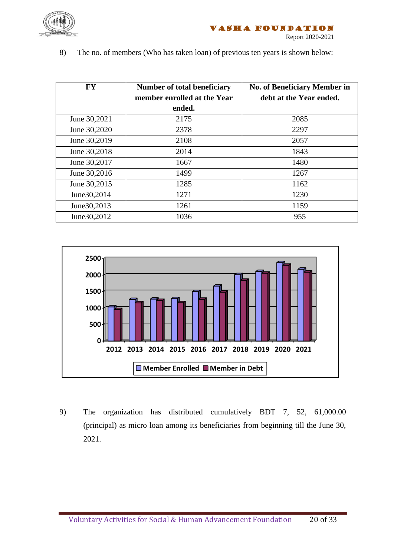

8) The no. of members (Who has taken loan) of previous ten years is shown below:

| <b>FY</b>     | Number of total beneficiary<br>member enrolled at the Year | <b>No. of Beneficiary Member in</b><br>debt at the Year ended. |
|---------------|------------------------------------------------------------|----------------------------------------------------------------|
|               | ended.                                                     |                                                                |
| June 30,2021  | 2175                                                       | 2085                                                           |
| June 30,2020  | 2378                                                       | 2297                                                           |
| June 30,2019  | 2108                                                       | 2057                                                           |
| June 30,2018  | 2014                                                       | 1843                                                           |
| June 30,2017  | 1667                                                       | 1480                                                           |
| June 30,2016  | 1499                                                       | 1267                                                           |
| June 30,2015  | 1285                                                       | 1162                                                           |
| June 30, 2014 | 1271                                                       | 1230                                                           |
| June 30, 2013 | 1261                                                       | 1159                                                           |
| June 30, 2012 | 1036                                                       | 955                                                            |



9) The organization has distributed cumulatively BDT 7, 52, 61,000.00 (principal) as micro loan among its beneficiaries from beginning till the June 30, 2021.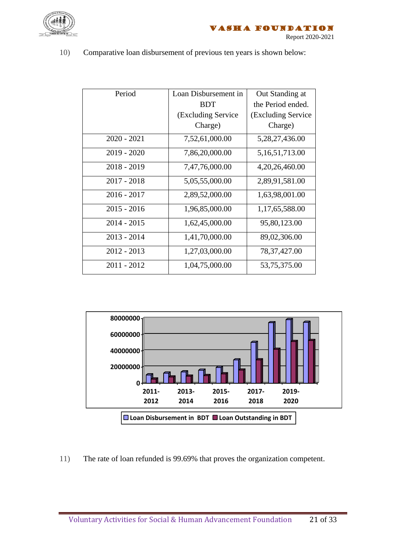

10) Comparative loan disbursement of previous ten years is shown below:

| Period        | Loan Disbursement in | Out Standing at     |
|---------------|----------------------|---------------------|
|               | <b>BDT</b>           | the Period ended.   |
|               | (Excluding Service)  | (Excluding Service) |
|               | Charge)              | Charge)             |
| $2020 - 2021$ | 7,52,61,000.00       | 5,28,27,436.00      |
| $2019 - 2020$ | 7,86,20,000.00       | 5, 16, 51, 713.00   |
| $2018 - 2019$ | 7,47,76,000.00       | 4, 20, 26, 460.00   |
| $2017 - 2018$ | 5,05,55,000.00       | 2,89,91,581.00      |
| $2016 - 2017$ | 2,89,52,000.00       | 1,63,98,001.00      |
| $2015 - 2016$ | 1,96,85,000.00       | 1,17,65,588.00      |
| $2014 - 2015$ | 1,62,45,000.00       | 95,80,123.00        |
| $2013 - 2014$ | 1,41,70,000.00       | 89,02,306.00        |
| $2012 - 2013$ | 1,27,03,000.00       | 78, 37, 427.00      |
| $2011 - 2012$ | 1,04,75,000.00       | 53,75,375.00        |



11) The rate of loan refunded is 99.69% that proves the organization competent.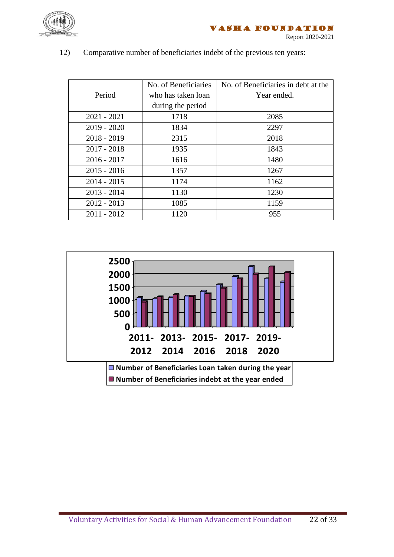

#### 12) Comparative number of beneficiaries indebt of the previous ten years:

|               | No. of Beneficiaries | No. of Beneficiaries in debt at the |
|---------------|----------------------|-------------------------------------|
| Period        | who has taken loan   | Year ended.                         |
|               | during the period    |                                     |
| $2021 - 2021$ | 1718                 | 2085                                |
| $2019 - 2020$ | 1834                 | 2297                                |
| $2018 - 2019$ | 2315                 | 2018                                |
| $2017 - 2018$ | 1935                 | 1843                                |
| $2016 - 2017$ | 1616                 | 1480                                |
| $2015 - 2016$ | 1357                 | 1267                                |
| $2014 - 2015$ | 1174                 | 1162                                |
| $2013 - 2014$ | 1130                 | 1230                                |
| $2012 - 2013$ | 1085                 | 1159                                |
| $2011 - 2012$ | 1120                 | 955                                 |

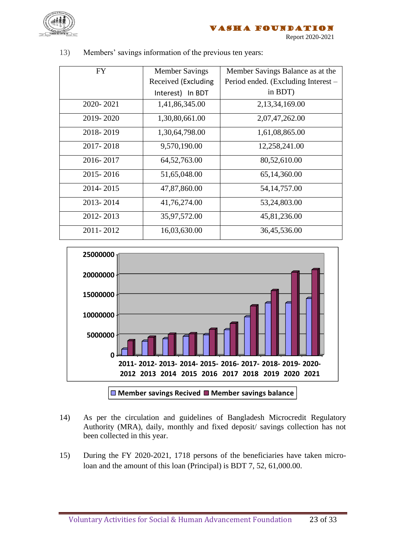

| <b>FY</b> | <b>Member Savings</b> | Member Savings Balance as at the    |
|-----------|-----------------------|-------------------------------------|
|           | Received (Excluding   | Period ended. (Excluding Interest – |
|           | Interest) In BDT      | in BDT)                             |
| 2020-2021 | 1,41,86,345.00        | 2,13,34,169.00                      |
| 2019-2020 | 1,30,80,661.00        | 2,07,47,262.00                      |
| 2018-2019 | 1,30,64,798.00        | 1,61,08,865.00                      |
| 2017-2018 | 9,570,190.00          | 12,258,241.00                       |
| 2016-2017 | 64, 52, 763.00        | 80,52,610.00                        |
| 2015-2016 | 51,65,048.00          | 65, 14, 360.00                      |
| 2014-2015 | 47,87,860.00          | 54, 14, 757.00                      |
| 2013-2014 | 41,76,274.00          | 53,24,803.00                        |
| 2012-2013 | 35,97,572.00          | 45,81,236.00                        |
| 2011-2012 | 16,03,630.00          | 36,45,536.00                        |

13) Members' savings information of the previous ten years:



- 14) As per the circulation and guidelines of Bangladesh Microcredit Regulatory Authority (MRA), daily, monthly and fixed deposit/ savings collection has not been collected in this year.
- 15) During the FY 2020-2021, 1718 persons of the beneficiaries have taken microloan and the amount of this loan (Principal) is BDT 7, 52, 61,000.00.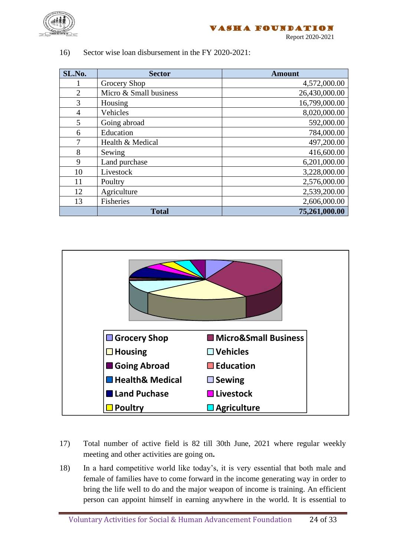

Report 2020-2021

| SL.No.         | <b>Sector</b>          | <b>Amount</b> |
|----------------|------------------------|---------------|
|                | Grocery Shop           | 4,572,000.00  |
| $\overline{2}$ | Micro & Small business | 26,430,000.00 |
| 3              | Housing                | 16,799,000.00 |
| $\overline{4}$ | Vehicles               | 8,020,000.00  |
| 5              | Going abroad           | 592,000.00    |
| 6              | Education              | 784,000.00    |
|                | Health & Medical       | 497,200.00    |
| 8              | Sewing                 | 416,600.00    |
| 9              | Land purchase          | 6,201,000.00  |
| 10             | Livestock              | 3,228,000.00  |
| 11             | Poultry                | 2,576,000.00  |
| 12             | Agriculture            | 2,539,200.00  |
| 13             | Fisheries              | 2,606,000.00  |
|                | <b>Total</b>           | 75,261,000.00 |

16) Sector wise loan disbursement in the FY 2020-2021:



- 17) Total number of active field is 82 till 30th June, 2021 where regular weekly meeting and other activities are going on**.**
- 18) In a hard competitive world like today's, it is very essential that both male and female of families have to come forward in the income generating way in order to bring the life well to do and the major weapon of income is training. An efficient person can appoint himself in earning anywhere in the world. It is essential to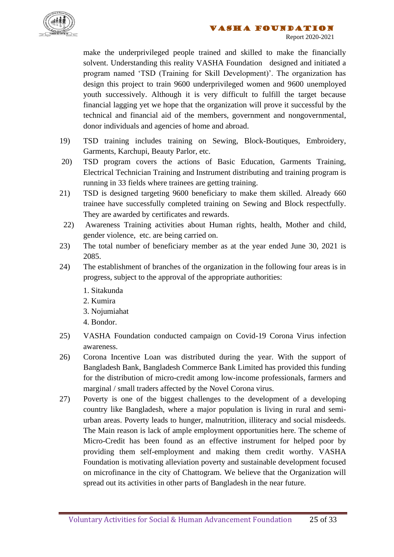

make the underprivileged people trained and skilled to make the financially solvent. Understanding this reality VASHA Foundation designed and initiated a program named 'TSD (Training for Skill Development)'. The organization has design this project to train 9600 underprivileged women and 9600 unemployed youth successively. Although it is very difficult to fulfill the target because financial lagging yet we hope that the organization will prove it successful by the technical and financial aid of the members, government and nongovernmental, donor individuals and agencies of home and abroad.

- 19) TSD training includes training on Sewing, Block-Boutiques, Embroidery, Garments, Karchupi, Beauty Parlor, etc.
- 20) TSD program covers the actions of Basic Education, Garments Training, Electrical Technician Training and Instrument distributing and training program is running in 33 fields where trainees are getting training.
- 21) TSD is designed targeting 9600 beneficiary to make them skilled. Already 660 trainee have successfully completed training on Sewing and Block respectfully. They are awarded by certificates and rewards.
- 22) Awareness Training activities about Human rights, health, Mother and child, gender violence, etc. are being carried on.
- 23) The total number of beneficiary member as at the year ended June 30, 2021 is 2085.
- 24) The establishment of branches of the organization in the following four areas is in progress, subject to the approval of the appropriate authorities:
	- 1. Sitakunda
	- 2. Kumira
	- 3. Nojumiahat
	- 4. Bondor.
- 25) VASHA Foundation conducted campaign on Covid-19 Corona Virus infection awareness.
- 26) Corona Incentive Loan was distributed during the year. With the support of Bangladesh Bank, Bangladesh Commerce Bank Limited has provided this funding for the distribution of micro-credit among low-income professionals, farmers and marginal / small traders affected by the Novel Corona virus.
- 27) Poverty is one of the biggest challenges to the development of a developing country like Bangladesh, where a major population is living in rural and semiurban areas. Poverty leads to hunger, malnutrition, illiteracy and social misdeeds. The Main reason is lack of ample employment opportunities here. The scheme of Micro-Credit has been found as an effective instrument for helped poor by providing them self-employment and making them credit worthy. VASHA Foundation is motivating alleviation poverty and sustainable development focused on microfinance in the city of Chattogram. We believe that the Organization will spread out its activities in other parts of Bangladesh in the near future.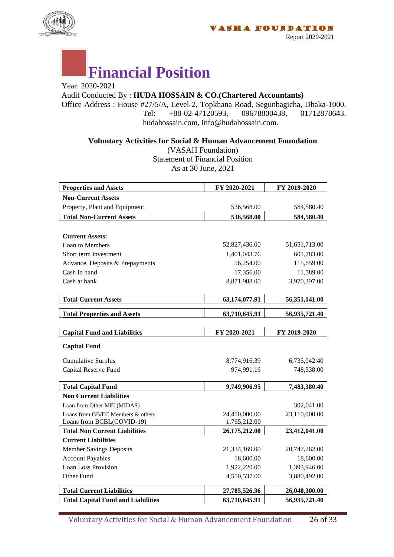

# **Financial Position**

Year: 2020-2021 Audit Conducted By : **HUDA HOSSAIN & CO.(Chartered Accountants)** Office Address : House #27/5/A, Level-2, Topkhana Road, Segunbagicha, Dhaka-1000.<br>
Tel: +88-02-47120593. 09678800438. 01712878643. Tel:  $+88-02-47120593$ . hudahossain.com, info@hudahossain.com.

**Voluntary Activities for Social & Human Advancement Foundation**

(VASAH Foundation) Statement of Financial Position As at 30 June, 2021

| <b>Properties and Assets</b>              | FY 2020-2021  | FY 2019-2020  |
|-------------------------------------------|---------------|---------------|
| <b>Non-Current Assets</b>                 |               |               |
| Property, Plant and Equipment             | 536,568.00    | 584,580.40    |
| <b>Total Non-Current Assets</b>           | 536,568.00    | 584,580.40    |
|                                           |               |               |
| <b>Current Assets:</b>                    |               |               |
| Loan to Members                           | 52,827,436.00 | 51,651,713.00 |
| Short term investment                     | 1,401,043.76  | 601,783.00    |
| Advance, Deposits & Prepayments           | 56,254.00     | 115,659.00    |
| Cash in hand                              | 17,356.00     | 11,589.00     |
| Cash at bank                              | 8,871,988.00  | 3,970,397.00  |
|                                           |               |               |
| <b>Total Current Assets</b>               | 63,174,077.91 | 56,351,141.00 |
| <b>Total Properties and Assets</b>        | 63,710,645.91 | 56,935,721.40 |
|                                           |               |               |
| <b>Capital Fund and Liabilities</b>       | FY 2020-2021  | FY 2019-2020  |
| <b>Capital Fund</b>                       |               |               |
| <b>Cumulative Surplus</b>                 | 8,774,916.39  | 6,735,042.40  |
| Capital Reserve Fund                      | 974,991.16    | 748,338.00    |
| <b>Total Capital Fund</b>                 | 9,749,906.95  | 7,483,380.40  |
| <b>Non Current Liabilities</b>            |               |               |
| Loan from Other MFI (MIDAS)               |               | 302,041.00    |
| Loans from GB/EC Members & others         | 24,410,000.00 | 23,110,000.00 |
| Loans from BCBL(COVID-19)                 | 1,765,212.00  |               |
| <b>Total Non Current Liabilities</b>      | 26,175,212.00 | 23,412,041.00 |
| <b>Current Liabilities</b>                |               |               |
| <b>Member Savings Deposits</b>            | 21,334,169.00 | 20,747,262.00 |
| <b>Account Payables</b>                   | 18,600.00     | 18,600.00     |
| <b>Loan Loss Provision</b>                | 1,922,220.00  | 1,393,946.00  |
| Other Fund                                | 4,510,537.00  | 3,880,492.00  |
| <b>Total Current Liabilities</b>          | 27,785,526.36 | 26,040,300.00 |
| <b>Total Capital Fund and Liabilities</b> | 63,710,645.91 | 56,935,721.40 |

Voluntary Activities for Social & Human Advancement Foundation 26 of 33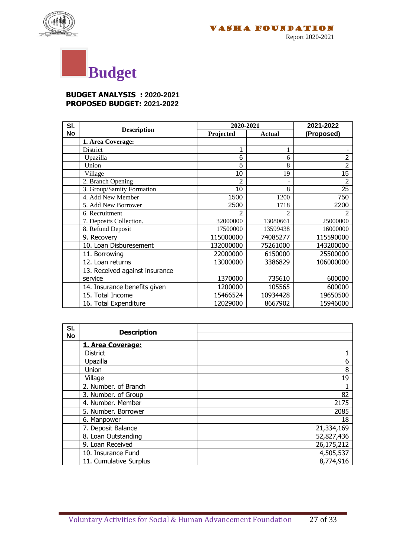





#### **BUDGET ANALYSIS : 2020-2021 PROPOSED BUDGET: 2021-2022**

| SI.       | 2020-2021                      |                | 2021-2022      |                |
|-----------|--------------------------------|----------------|----------------|----------------|
| <b>No</b> | <b>Description</b>             | Projected      | <b>Actual</b>  | (Proposed)     |
|           | 1. Area Coverage:              |                |                |                |
|           | District                       | 1              | 1              |                |
|           | Upazilla                       | 6              | 6              | $\overline{2}$ |
|           | Union                          | 5              | 8              | $\overline{2}$ |
|           | Village                        | 10             | 19             | 15             |
|           | 2. Branch Opening              | $\overline{2}$ | $\overline{a}$ | 2              |
|           | 3. Group/Samity Formation      | 10             | 8              | 25             |
|           | 4. Add New Member              | 1500           | 1200           | 750            |
|           | 5. Add New Borrower            | 2500           | 1718           | 2200           |
|           | 6. Recruitment                 | $\mathfrak{p}$ | $\mathfrak{D}$ | $\overline{2}$ |
|           | 7. Deposits Collection.        | 32000000       | 13080661       | 25000000       |
|           | 8. Refund Deposit              | 17500000       | 13599438       | 16000000       |
|           | 9. Recovery                    | 115000000      | 74085277       | 115590000      |
|           | 10. Loan Disburesement         | 132000000      | 75261000       | 143200000      |
|           | 11. Borrowing                  | 22000000       | 6150000        | 25500000       |
|           | 12. Loan returns               | 13000000       | 3386829        | 106000000      |
|           | 13. Received against insurance |                |                |                |
|           | service                        | 1370000        | 735610         | 600000         |
|           | 14. Insurance benefits given   | 1200000        | 105565         | 600000         |
|           | 15. Total Income               | 15466524       | 10934428       | 19650500       |
|           | 16. Total Expenditure          | 12029000       | 8667902        | 15946000       |

| SI.<br><b>No</b> | <b>Description</b>     |            |
|------------------|------------------------|------------|
|                  | 1. Area Coverage:      |            |
|                  | <b>District</b>        |            |
|                  | Upazilla               | 6          |
|                  | Union                  | 8          |
|                  | Village                | 19         |
|                  | 2. Number. of Branch   |            |
|                  | 3. Number. of Group    | 82         |
|                  | 4. Number. Member      | 2175       |
|                  | 5. Number. Borrower    | 2085       |
|                  | 6. Manpower            | 18         |
|                  | 7. Deposit Balance     | 21,334,169 |
|                  | 8. Loan Outstanding    | 52,827,436 |
|                  | 9. Loan Received       | 26,175,212 |
|                  | 10. Insurance Fund     | 4,505,537  |
|                  | 11. Cumulative Surplus | 8,774,916  |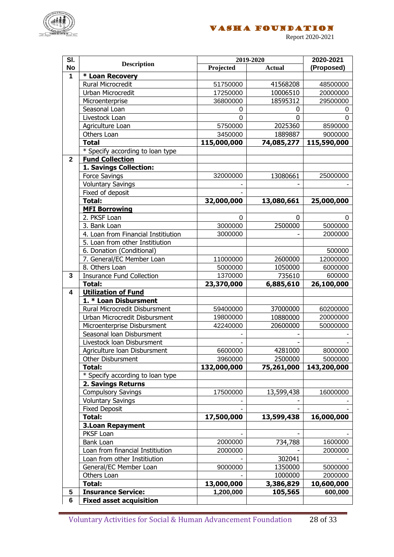

Report 2020-2021

| SI.                     |                                             | 2019-2020           |                   | 2020-2021           |
|-------------------------|---------------------------------------------|---------------------|-------------------|---------------------|
| <b>No</b>               | <b>Description</b>                          | Projected           | <b>Actual</b>     | (Proposed)          |
| $\mathbf{1}$            | * Loan Recovery                             |                     |                   |                     |
|                         | Rural Microcredit                           | 51750000            | 41568208          | 48500000            |
|                         | Urban Microcredit                           | 17250000            | 10006510          | 20000000            |
|                         | Microenterprise                             | 36800000            | 18595312          | 29500000            |
|                         | Seasonal Loan                               | 0                   | 0                 | 0                   |
|                         | Livestock Loan                              | 0                   | 0                 | $\Omega$            |
|                         | Agriculture Loan                            | 5750000             | 2025360           | 8590000             |
|                         | Others Loan                                 | 3450000             | 1889887           | 9000000             |
|                         | <b>Total</b>                                | 115,000,000         | 74,085,277        | 115,590,000         |
|                         | * Specify according to loan type            |                     |                   |                     |
| $\mathbf{2}$            | <b>Fund Collection</b>                      |                     |                   |                     |
|                         | 1. Savings Collection:                      |                     |                   |                     |
|                         | <b>Force Savings</b>                        | 32000000            | 13080661          | 25000000            |
|                         | <b>Voluntary Savings</b>                    |                     |                   |                     |
|                         | Fixed of deposit                            |                     |                   |                     |
|                         | <b>Total:</b>                               | 32,000,000          | 13,080,661        | 25,000,000          |
|                         | <b>MFI Borrowing</b>                        |                     |                   |                     |
|                         | 2. PKSF Loan                                | $\Omega$            | $\mathbf 0$       | $\Omega$            |
|                         | 3. Bank Loan                                | 3000000             | 2500000           | 5000000             |
|                         | 4. Loan from Financial Institiution         | 3000000             |                   | 2000000             |
|                         | 5. Loan from other Institiution             |                     |                   |                     |
|                         | 6. Donation (Conditional)                   |                     |                   | 500000              |
|                         | 7. General/EC Member Loan<br>8. Others Loan | 11000000<br>5000000 | 2600000           | 12000000<br>6000000 |
| 3                       | <b>Insurance Fund Collection</b>            | 1370000             | 1050000<br>735610 | 600000              |
|                         | <b>Total:</b>                               | 23,370,000          | 6,885,610         | 26,100,000          |
| $\overline{\mathbf{4}}$ | <b>Utilization of Fund</b>                  |                     |                   |                     |
|                         | 1. * Loan Disbursment                       |                     |                   |                     |
|                         | Rural Microcredit Disbursment               | 59400000            | 37000000          | 60200000            |
|                         | Urban Microcredit Disbursment               | 19800000            | 10880000          | 20000000            |
|                         | Microenterprise Disbursment                 | 42240000            | 20600000          | 50000000            |
|                         | Seasonal loan Disbursment                   |                     |                   |                     |
|                         | Livestock loan Disbursment                  |                     |                   |                     |
|                         | Agriculture Ioan Disbursment                | 6600000             | 4281000           | 8000000             |
|                         | <b>Other Disbursment</b>                    | 3960000             | 2500000           | 5000000             |
|                         | <b>Total:</b>                               | 132,000,000         | 75,261,000        | 143,200,000         |
|                         | * Specify according to loan type            |                     |                   |                     |
|                         | 2. Savings Returns                          |                     |                   |                     |
|                         | <b>Compulsory Savings</b>                   | 17500000            | 13,599,438        | 16000000            |
|                         | <b>Voluntary Savings</b>                    |                     |                   |                     |
|                         | <b>Fixed Deposit</b>                        |                     |                   |                     |
|                         | Total:                                      | 17,500,000          | 13,599,438        | 16,000,000          |
|                         | <b>3.Loan Repayment</b>                     |                     |                   |                     |
|                         | PKSF Loan                                   |                     |                   |                     |
|                         | Bank Loan                                   | 2000000             | 734,788           | 1600000             |
|                         | Loan from financial Institiution            | 2000000             |                   | 2000000             |
|                         | Loan from other Institiution                |                     | 302041            |                     |
|                         | General/EC Member Loan                      | 9000000             | 1350000           | 5000000             |
|                         | Others Loan                                 |                     | 1000000           | 2000000             |
|                         | Total:                                      | 13,000,000          | 3,386,829         | 10,600,000          |
| 5                       | <b>Insurance Service:</b>                   | 1,200,000           | 105,565           | 600,000             |
| 6                       | <b>Fixed asset acquisition</b>              |                     |                   |                     |

Voluntary Activities for Social & Human Advancement Foundation 28 of 33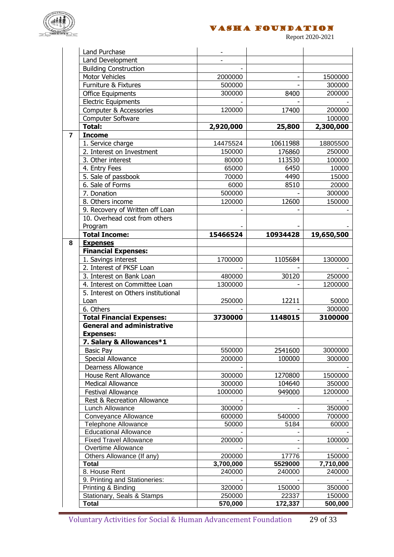

VASHA Foundation

Report 2020-2021

|                | Land Purchase                                  |           |          |            |
|----------------|------------------------------------------------|-----------|----------|------------|
|                | Land Development                               |           |          |            |
|                | <b>Building Construction</b>                   |           |          |            |
|                | <b>Motor Vehicles</b>                          | 2000000   |          | 1500000    |
|                | Furniture & Fixtures                           | 500000    |          | 300000     |
|                | <b>Office Equipments</b>                       | 300000    | 8400     | 200000     |
|                | <b>Electric Equipments</b>                     |           |          |            |
|                | Computer & Accessories                         | 120000    | 17400    | 200000     |
|                | Computer Software                              |           |          | 100000     |
|                | Total:                                         | 2,920,000 | 25,800   | 2,300,000  |
| $\overline{7}$ | <b>Income</b>                                  |           |          |            |
|                | 1. Service charge                              | 14475524  | 10611988 | 18805500   |
|                | 2. Interest on Investment                      | 150000    | 176860   | 250000     |
|                | 3. Other interest                              | 80000     | 113530   | 100000     |
|                | 4. Entry Fees                                  | 65000     | 6450     | 10000      |
|                | 5. Sale of passbook                            | 70000     | 4490     | 15000      |
|                | 6. Sale of Forms                               | 6000      | 8510     | 20000      |
|                | 7. Donation                                    | 500000    |          | 300000     |
|                | 8. Others income                               | 120000    | 12600    | 150000     |
|                | 9. Recovery of Written off Loan                |           |          |            |
|                | 10. Overhead cost from others                  |           |          |            |
|                | Program                                        |           |          |            |
|                | <b>Total Income:</b>                           | 15466524  | 10934428 | 19,650,500 |
| 8              | <b>Expenses</b>                                |           |          |            |
|                | <b>Financial Expenses:</b>                     |           |          |            |
|                | 1. Savings interest                            | 1700000   | 1105684  | 1300000    |
|                | 2. Interest of PKSF Loan                       |           |          |            |
|                | 3. Interest on Bank Loan                       | 480000    | 30120    | 250000     |
|                | 4. Interest on Committee Loan                  | 1300000   |          | 1200000    |
|                | 5. Interest on Others institutional            |           |          |            |
|                | Loan                                           | 250000    | 12211    | 50000      |
|                | 6. Others                                      |           |          | 300000     |
|                | <b>Total Financial Expenses:</b>               | 3730000   | 1148015  | 3100000    |
|                | <b>General and administrative</b>              |           |          |            |
|                | <b>Expenses:</b>                               |           |          |            |
|                | 7. Salary & Allowances*1                       |           |          |            |
|                | <b>Basic Pay</b>                               | 550000    | 2541600  | 3000000    |
|                | Special Allowance                              | 200000    | 100000   | 300000     |
|                | Dearness Allowance                             |           |          |            |
|                | House Rent Allowance                           | 300000    | 1270800  | 1500000    |
|                | <b>Medical Allowance</b>                       | 300000    | 104640   | 350000     |
|                | Festival Allowance                             | 1000000   | 949000   | 1200000    |
|                | Rest & Recreation Allowance                    |           |          |            |
|                | Lunch Allowance                                | 300000    |          | 350000     |
|                | Conveyance Allowance                           | 600000    | 540000   | 700000     |
|                | <b>Telephone Allowance</b>                     | 50000     | 5184     | 60000      |
|                | <b>Educational Allowance</b>                   |           |          |            |
|                | <b>Fixed Travel Allowance</b>                  | 200000    |          | 100000     |
|                | Overtime Allowance                             |           |          |            |
|                | Others Allowance (If any)                      | 200000    | 17776    | 150000     |
|                | <b>Total</b>                                   | 3,700,000 | 5529000  | 7,710,000  |
|                | 8. House Rent<br>9. Printing and Stationeries: | 240000    | 240000   | 240000     |
|                | Printing & Binding                             | 320000    | 150000   | 350000     |
|                | Stationary, Seals & Stamps                     | 250000    | 22337    | 150000     |
|                | <b>Total</b>                                   | 570,000   | 172,337  | 500,000    |
|                |                                                |           |          |            |

Voluntary Activities for Social & Human Advancement Foundation 29 of 33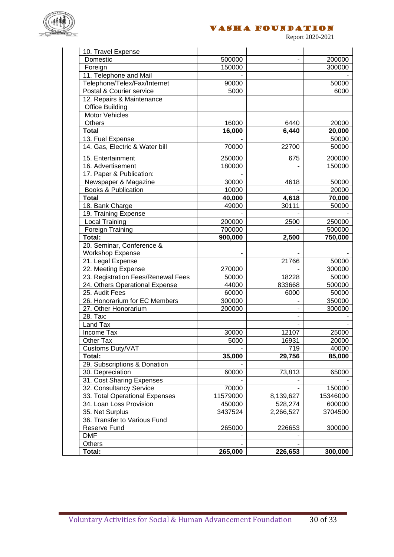

Report 2020-2021

| 10. Travel Expense                 |          |           |          |
|------------------------------------|----------|-----------|----------|
| Domestic                           | 500000   |           | 200000   |
| Foreign                            | 150000   |           | 300000   |
| 11. Telephone and Mail             |          |           |          |
| Telephone/Telex/Fax/Internet       | 90000    |           | 50000    |
| Postal & Courier service           | 5000     |           | 6000     |
| 12. Repairs & Maintenance          |          |           |          |
| Office Building                    |          |           |          |
| <b>Motor Vehicles</b>              |          |           |          |
| <b>Others</b>                      | 16000    | 6440      | 20000    |
| <b>Total</b>                       | 16,000   | 6,440     | 20,000   |
| 13. Fuel Expense                   |          |           | 50000    |
| 14. Gas, Electric & Water bill     | 70000    | 22700     | 50000    |
| 15. Entertainment                  | 250000   | 675       | 200000   |
| 16. Advertisement                  | 180000   |           | 150000   |
| 17. Paper & Publication:           |          |           |          |
| Newspaper & Magazine               | 30000    | 4618      | 50000    |
| <b>Books &amp; Publication</b>     | 10000    |           | 20000    |
| <b>Total</b>                       | 40,000   | 4,618     | 70,000   |
| 18. Bank Charge                    | 49000    | 30111     | 50000    |
| 19. Training Expense               |          |           |          |
| <b>Local Training</b>              | 200000   | 2500      | 250000   |
| Foreign Training                   | 700000   |           | 500000   |
| Total:                             | 900,000  | 2,500     | 750,000  |
| 20. Seminar, Conference &          |          |           |          |
| <b>Workshop Expense</b>            |          |           |          |
| 21. Legal Expense                  |          | 21766     | 50000    |
| 22. Meeting Expense                | 270000   |           | 300000   |
| 23. Registration Fees/Renewal Fees | 50000    | 18228     | 50000    |
| 24. Others Operational Expense     | 44000    | 833668    | 500000   |
| 25. Audit Fees                     | 60000    | 6000      | 50000    |
| 26. Honorarium for EC Members      | 300000   |           | 350000   |
| 27. Other Honorarium               | 200000   |           | 300000   |
| 28. Tax:                           |          |           |          |
| Land Tax                           |          |           |          |
| Income Tax                         | 30000    | 12107     | 25000    |
| Other Tax                          | 5000     | 16931     | 20000    |
| Customs Duty/VAT                   |          | 719       | 40000    |
| Total:                             | 35,000   | 29,756    | 85,000   |
| 29. Subscriptions & Donation       |          |           |          |
| 30. Depreciation                   | 60000    | 73,813    | 65000    |
| 31. Cost Sharing Expenses          |          |           |          |
| 32. Consultancy Service            | 70000    |           | 150000   |
| 33. Total Operational Expenses     | 11579000 | 8,139,627 | 15346000 |
| 34. Loan Loss Provision            | 450000   | 528,274   | 600000   |
| 35. Net Surplus                    | 3437524  | 2,266,527 | 3704500  |
| 36. Transfer to Various Fund       |          |           |          |
| Reserve Fund                       | 265000   | 226653    | 300000   |
| <b>DMF</b>                         |          |           |          |
| Others                             |          |           |          |
| Total:                             | 265,000  | 226,653   | 300,000  |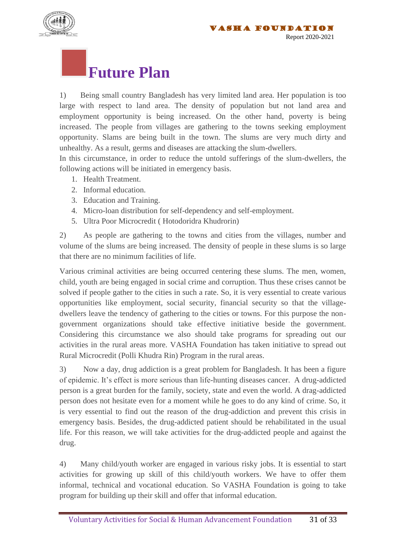



#### **Future Plan**

1) Being small country Bangladesh has very limited land area. Her population is too large with respect to land area. The density of population but not land area and employment opportunity is being increased. On the other hand, poverty is being increased. The people from villages are gathering to the towns seeking employment opportunity. Slams are being built in the town. The slums are very much dirty and unhealthy. As a result, germs and diseases are attacking the slum-dwellers.

In this circumstance, in order to reduce the untold sufferings of the slum-dwellers, the following actions will be initiated in emergency basis.

- 1. Health Treatment.
- 2. Informal education.
- 3. Education and Training.
- 4. Micro-loan distribution for self-dependency and self-employment.
- 5. Ultra Poor Microcredit ( Hotodoridra Khudrorin)

2) As people are gathering to the towns and cities from the villages, number and volume of the slums are being increased. The density of people in these slums is so large that there are no minimum facilities of life.

Various criminal activities are being occurred centering these slums. The men, women, child, youth are being engaged in social crime and corruption. Thus these crises cannot be solved if people gather to the cities in such a rate. So, it is very essential to create various opportunities like employment, social security, financial security so that the villagedwellers leave the tendency of gathering to the cities or towns. For this purpose the nongovernment organizations should take effective initiative beside the government. Considering this circumstance we also should take programs for spreading out our activities in the rural areas more. VASHA Foundation has taken initiative to spread out Rural Microcredit (Polli Khudra Rin) Program in the rural areas.

3) Now a day, drug addiction is a great problem for Bangladesh. It has been a figure of epidemic. It's effect is more serious than life-hunting diseases cancer. A drug-addicted person is a great burden for the family, society, state and even the world. A drag-addicted person does not hesitate even for a moment while he goes to do any kind of crime. So, it is very essential to find out the reason of the drug-addiction and prevent this crisis in emergency basis. Besides, the drug-addicted patient should be rehabilitated in the usual life. For this reason, we will take activities for the drug-addicted people and against the drug.

4) Many child/youth worker are engaged in various risky jobs. It is essential to start activities for growing up skill of this child/youth workers. We have to offer them informal, technical and vocational education. So VASHA Foundation is going to take program for building up their skill and offer that informal education.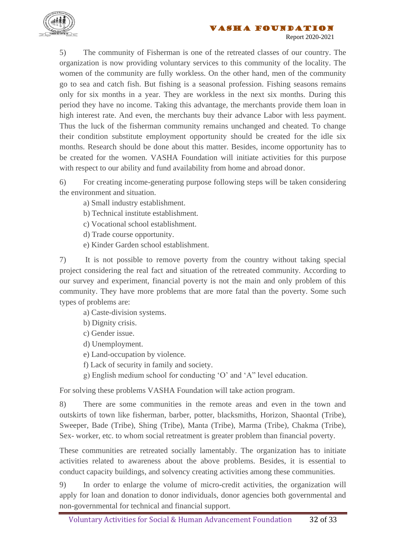



5) The community of Fisherman is one of the retreated classes of our country. The organization is now providing voluntary services to this community of the locality. The women of the community are fully workless. On the other hand, men of the community go to sea and catch fish. But fishing is a seasonal profession. Fishing seasons remains only for six months in a year. They are workless in the next six months. During this period they have no income. Taking this advantage, the merchants provide them loan in high interest rate. And even, the merchants buy their advance Labor with less payment. Thus the luck of the fisherman community remains unchanged and cheated. To change their condition substitute employment opportunity should be created for the idle six months. Research should be done about this matter. Besides, income opportunity has to be created for the women. VASHA Foundation will initiate activities for this purpose with respect to our ability and fund availability from home and abroad donor.

6) For creating income-generating purpose following steps will be taken considering the environment and situation.

- a) Small industry establishment.
- b) Technical institute establishment.
- c) Vocational school establishment.
- d) Trade course opportunity.
- e) Kinder Garden school establishment.

7) It is not possible to remove poverty from the country without taking special project considering the real fact and situation of the retreated community. According to our survey and experiment, financial poverty is not the main and only problem of this community. They have more problems that are more fatal than the poverty. Some such types of problems are:

a) Caste-division systems.

- b) Dignity crisis.
- c) Gender issue.
- d) Unemployment.
- e) Land-occupation by violence.
- f) Lack of security in family and society.
- g) English medium school for conducting 'O' and 'A" level education.

For solving these problems VASHA Foundation will take action program.

8) There are some communities in the remote areas and even in the town and outskirts of town like fisherman, barber, potter, blacksmiths, Horizon, Shaontal (Tribe), Sweeper, Bade (Tribe), Shing (Tribe), Manta (Tribe), Marma (Tribe), Chakma (Tribe), Sex- worker, etc. to whom social retreatment is greater problem than financial poverty.

These communities are retreated socially lamentably. The organization has to initiate activities related to awareness about the above problems. Besides, it is essential to conduct capacity buildings, and solvency creating activities among these communities.

9) In order to enlarge the volume of micro-credit activities, the organization will apply for loan and donation to donor individuals, donor agencies both governmental and non-governmental for technical and financial support.